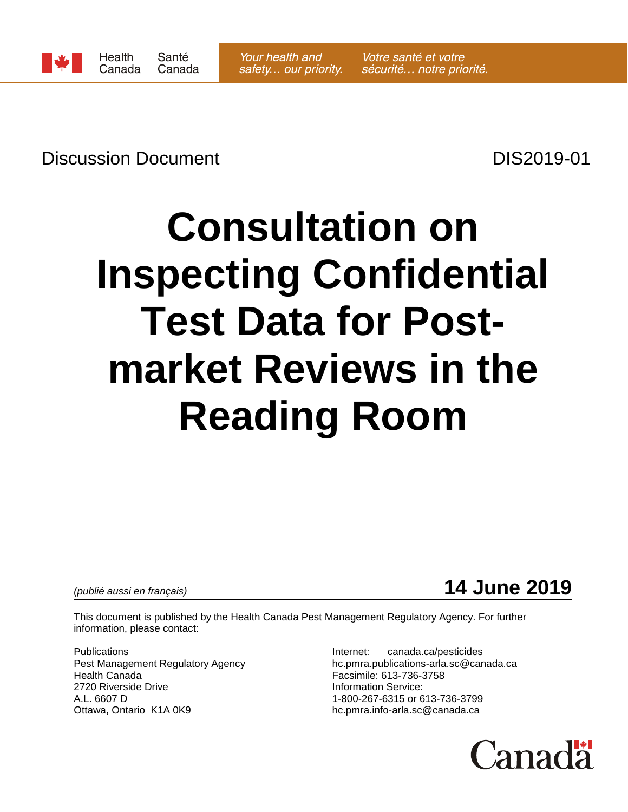Discussion Document **Discussion** Distribution of the DIS2019-01

# **Consultation on Inspecting Confidential Test Data for Postmarket Reviews in the Reading Room**

*(publié aussi en français)* **14 June 2019**

This document is published by the Health Canada Pest Management Regulatory Agency. For further information, please contact:

Publications **Internet:** canada.ca/pesticides Health Canada<br>
2720 Riverside Drive<br>
2720 Riverside Drive<br>
10 The Manual March 10 Theory of the Marian Service: 2720 Riverside Drive<br>A.L. 6607 D Ottawa, Ontario K1A 0K9 https://www.bc.pmra.info-arla.sc@canada.ca

Pest Management Regulatory Agency hc.pmra.publications-arla.sc@canada.ca 1-800-267-6315 or 613-736-3799

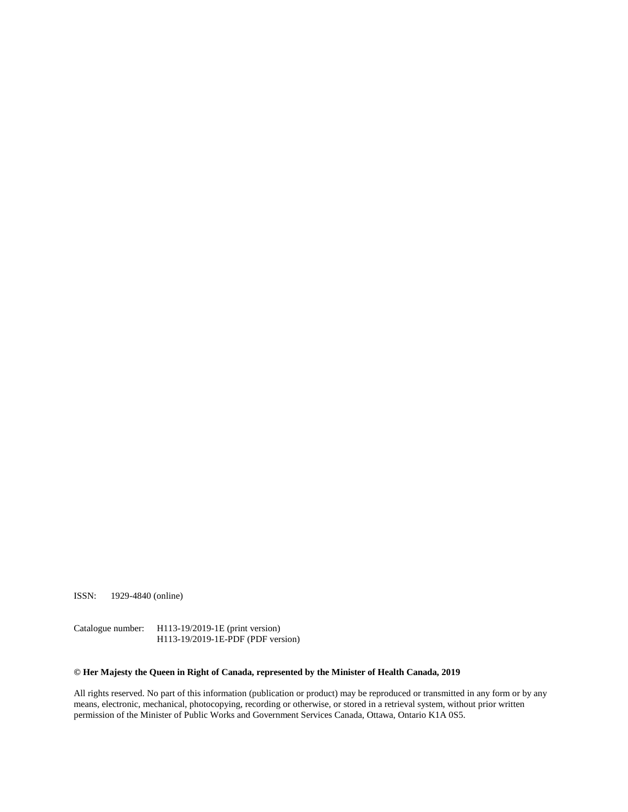ISSN: 1929-4840 (online)

Catalogue number: H113-19/2019-1E (print version) H113-19/2019-1E-PDF (PDF version)

#### **© Her Majesty the Queen in Right of Canada, represented by the Minister of Health Canada, 2019**

All rights reserved. No part of this information (publication or product) may be reproduced or transmitted in any form or by any means, electronic, mechanical, photocopying, recording or otherwise, or stored in a retrieval system, without prior written permission of the Minister of Public Works and Government Services Canada, Ottawa, Ontario K1A 0S5.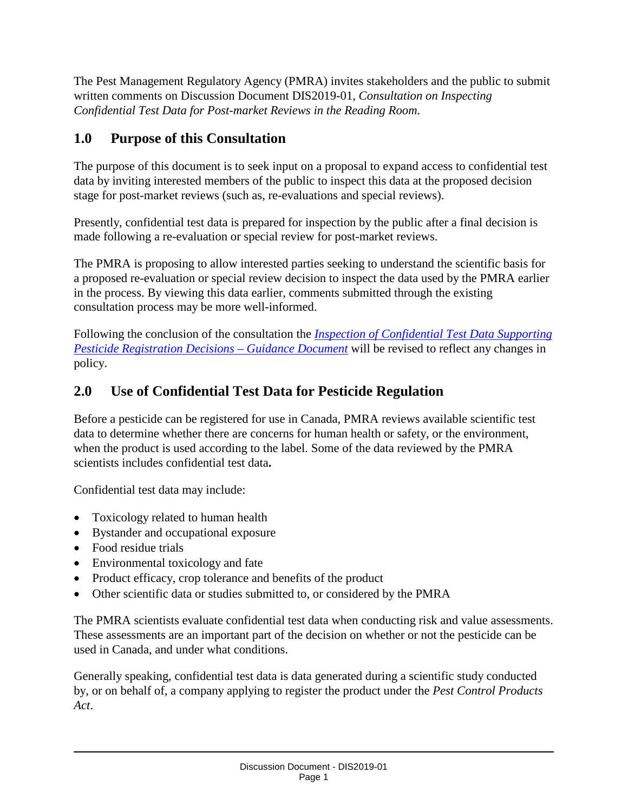The Pest Management Regulatory Agency (PMRA) invites stakeholders and the public to submit written comments on Discussion Document DIS2019-01, *Consultation on Inspecting Confidential Test Data for Post-market Reviews in the Reading Room*.

## **1.0 Purpose of this Consultation**

The purpose of this document is to seek input on a proposal to expand access to confidential test data by inviting interested members of the public to inspect this data at the proposed decision stage for post-market reviews (such as, re-evaluations and special reviews).

Presently, confidential test data is prepared for inspection by the public after a final decision is made following a re-evaluation or special review for post-market reviews.

The PMRA is proposing to allow interested parties seeking to understand the scientific basis for a proposed re-evaluation or special review decision to inspect the data used by the PMRA earlier in the process. By viewing this data earlier, comments submitted through the existing consultation process may be more well-informed.

Following the conclusion of the consultation the *[Inspection of Confidential Test Data Supporting](https://www.canada.ca/en/health-canada/services/consumer-product-safety/pesticides-pest-management/public/protecting-your-health-environment/public-registry/inspection-confidential-test-data-supporting-pesticide-registration-decisions-guidance-document.html)  [Pesticide Registration Decisions –](https://www.canada.ca/en/health-canada/services/consumer-product-safety/pesticides-pest-management/public/protecting-your-health-environment/public-registry/inspection-confidential-test-data-supporting-pesticide-registration-decisions-guidance-document.html) Guidance Document* will be revised to reflect any changes in policy.

# **2.0 Use of Confidential Test Data for Pesticide Regulation**

Before a pesticide can be registered for use in Canada, PMRA reviews available scientific test data to determine whether there are concerns for human health or safety, or the environment, when the product is used according to the label. Some of the data reviewed by the PMRA scientists includes confidential test data**.** 

Confidential test data may include:

- Toxicology related to human health
- Bystander and occupational exposure
- Food residue trials
- Environmental toxicology and fate
- Product efficacy, crop tolerance and benefits of the product
- Other scientific data or studies submitted to, or considered by the PMRA

The PMRA scientists evaluate confidential test data when conducting risk and value assessments. These assessments are an important part of the decision on whether or not the pesticide can be used in Canada, and under what conditions.

Generally speaking, confidential test data is data generated during a scientific study conducted by, or on behalf of, a company applying to register the product under the *Pest Control Products Act*.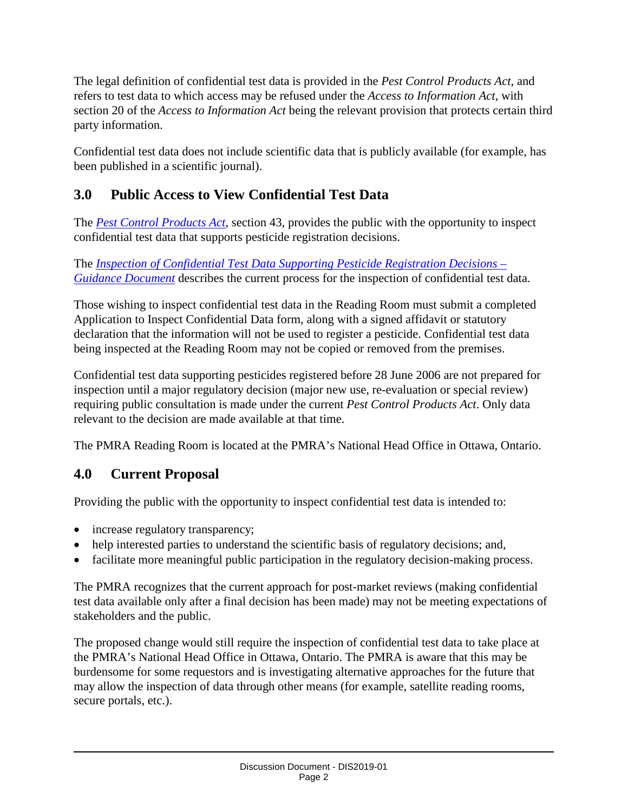The legal definition of confidential test data is provided in the *Pest Control Products Act*, and refers to test data to which access may be refused under the *Access to Information Act*, with section 20 of the *Access to Information Act* being the relevant provision that protects certain third party information.

Confidential test data does not include scientific data that is publicly available (for example, has been published in a scientific journal).

## **3.0 Public Access to View Confidential Test Data**

The *[Pest Control Products Act](https://laws-lois.justice.gc.ca/eng/acts/P-9.01/FullText.html)*, section 43, provides the public with the opportunity to inspect confidential test data that supports pesticide registration decisions.

The *[Inspection of Confidential Test Data Supporting Pesticide Registration Decisions –](https://www.canada.ca/en/health-canada/services/consumer-product-safety/pesticides-pest-management/public/protecting-your-health-environment/public-registry/inspection-confidential-test-data-supporting-pesticide-registration-decisions-guidance-document.html) [Guidance Document](https://www.canada.ca/en/health-canada/services/consumer-product-safety/pesticides-pest-management/public/protecting-your-health-environment/public-registry/inspection-confidential-test-data-supporting-pesticide-registration-decisions-guidance-document.html)* describes the current process for the inspection of confidential test data.

Those wishing to inspect confidential test data in the Reading Room must submit a completed Application to Inspect Confidential Data form, along with a signed affidavit or statutory declaration that the information will not be used to register a pesticide. Confidential test data being inspected at the Reading Room may not be copied or removed from the premises.

Confidential test data supporting pesticides registered before 28 June 2006 are not prepared for inspection until a major regulatory decision (major new use, re-evaluation or special review) requiring public consultation is made under the current *Pest Control Products Act*. Only data relevant to the decision are made available at that time.

The PMRA Reading Room is located at the PMRA's National Head Office in Ottawa, Ontario.

#### **4.0 Current Proposal**

Providing the public with the opportunity to inspect confidential test data is intended to:

- increase regulatory transparency;
- help interested parties to understand the scientific basis of regulatory decisions; and,
- facilitate more meaningful public participation in the regulatory decision-making process.

The PMRA recognizes that the current approach for post-market reviews (making confidential test data available only after a final decision has been made) may not be meeting expectations of stakeholders and the public.

The proposed change would still require the inspection of confidential test data to take place at the PMRA's National Head Office in Ottawa, Ontario. The PMRA is aware that this may be burdensome for some requestors and is investigating alternative approaches for the future that may allow the inspection of data through other means (for example, satellite reading rooms, secure portals, etc.).